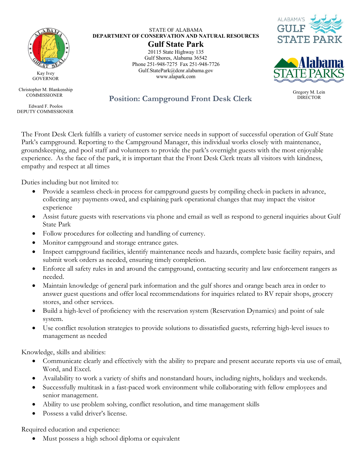

Kay Ivey **GOVERNOR** 

Christopher M. Blankenship COMMISSIONER

Edward F. Poolos DEPUTY COMMISSIONER

STATE OF ALABAMA **DEPARTMENT OF CONSERVATION AND NATURAL RESOURCES**

**Gulf State Park** 20115 State Highway 135 Gulf Shores, Alabama 36542 Phone 251-948-7275 Fax 251-948-7726 Gulf.StatePark@dcnr.alabama.gov www.alapark.com





Gregory M. Lein<br>DIRECTOR

**Position: Campground Front Desk Clerk** 

The Front Desk Clerk fulfills a variety of customer service needs in support of successful operation of Gulf State Park's campground. Reporting to the Campground Manager, this individual works closely with maintenance, groundskeeping, and pool staff and volunteers to provide the park's overnight guests with the most enjoyable experience. As the face of the park, it is important that the Front Desk Clerk treats all visitors with kindness, empathy and respect at all times

Duties including but not limited to:

- Provide a seamless check-in process for campground guests by compiling check-in packets in advance, collecting any payments owed, and explaining park operational changes that may impact the visitor experience
- Assist future guests with reservations via phone and email as well as respond to general inquiries about Gulf State Park
- Follow procedures for collecting and handling of currency.
- Monitor campground and storage entrance gates.
- Inspect campground facilities, identify maintenance needs and hazards, complete basic facility repairs, and submit work orders as needed, ensuring timely completion.
- Enforce all safety rules in and around the campground, contacting security and law enforcement rangers as needed.
- Maintain knowledge of general park information and the gulf shores and orange beach area in order to answer guest questions and offer local recommendations for inquiries related to RV repair shops, grocery stores, and other services.
- Build a high-level of proficiency with the reservation system (Reservation Dynamics) and point of sale system.
- Use conflict resolution strategies to provide solutions to dissatisfied guests, referring high-level issues to management as needed

Knowledge, skills and abilities:

- Communicate clearly and effectively with the ability to prepare and present accurate reports via use of email, Word, and Excel.
- Availability to work a variety of shifts and nonstandard hours, including nights, holidays and weekends.
- Successfully multitask in a fast-paced work environment while collaborating with fellow employees and senior management.
- Ability to use problem solving, conflict resolution, and time management skills
- Possess a valid driver's license.

Required education and experience:

• Must possess a high school diploma or equivalent